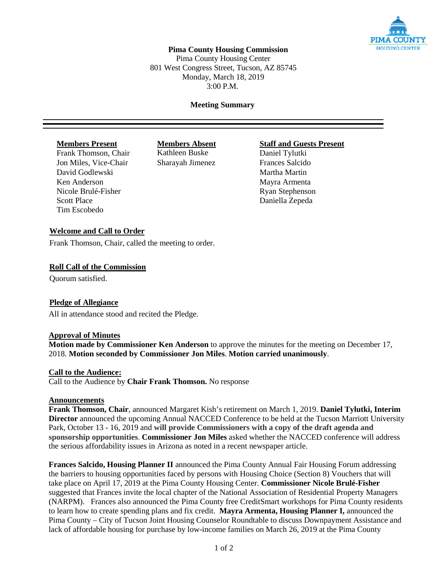

# **Pima County Housing Commission**

Pima County Housing Center 801 West Congress Street, Tucson, AZ 85745 Monday, March 18, 2019 3:00 P.M.

### **Meeting Summary**

Frank Thomson, Chair Kathleen Buske Daniel Tylutki Jon Miles, Vice-Chair Sharayah Jimenez Frances Salcido David Godlewski Nartha Martha Martha Martin Ken Anderson Mayra Armenta Nicole Brulé-Fisher Ryan Stephenson Scott Place Daniella Zepeda Tim Escobedo

# **Members Present Members Absent Staff and Guests Present**

### **Welcome and Call to Order**

Frank Thomson, Chair, called the meeting to order.

#### **Roll Call of the Commission**

Quorum satisfied.

#### **Pledge of Allegiance**

All in attendance stood and recited the Pledge.

#### **Approval of Minutes**

**Motion made by Commissioner Ken Anderson** to approve the minutes for the meeting on December 17, 2018. **Motion seconded by Commissioner Jon Miles**. **Motion carried unanimously**.

#### **Call to the Audience:**

Call to the Audience by **Chair Frank Thomson.** No response

#### **Announcements**

**Frank Thomson, Chair**, announced Margaret Kish's retirement on March 1, 2019. **Daniel Tylutki, Interim Director** announced the upcoming Annual NACCED Conference to be held at the Tucson Marriott University Park, October 13 - 16, 2019 and **will provide Commissioners with a copy of the draft agenda and sponsorship opportunities**. **Commissioner Jon Miles** asked whether the NACCED conference will address the serious affordability issues in Arizona as noted in a recent newspaper article.

**Frances Salcido, Housing Planner II** announced the Pima County Annual Fair Housing Forum addressing the barriers to housing opportunities faced by persons with Housing Choice (Section 8) Vouchers that will take place on April 17, 2019 at the Pima County Housing Center. **Commissioner Nicole Brulé-Fisher** suggested that Frances invite the local chapter of the National Association of Residential Property Managers (NARPM). Frances also announced the Pima County free CreditSmart workshops for Pima County residents to learn how to create spending plans and fix credit. **Mayra Armenta, Housing Planner I,** announced the Pima County – City of Tucson Joint Housing Counselor Roundtable to discuss Downpayment Assistance and lack of affordable housing for purchase by low-income families on March 26, 2019 at the Pima County